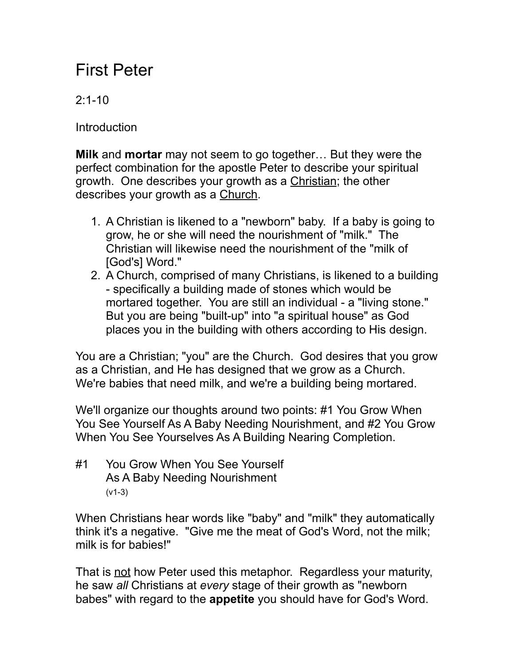## First Peter

## $2.1 - 10$

**Introduction** 

**Milk** and **mortar** may not seem to go together… But they were the perfect combination for the apostle Peter to describe your spiritual growth. One describes your growth as a Christian; the other describes your growth as a Church.

- 1. A Christian is likened to a "newborn" baby. If a baby is going to grow, he or she will need the nourishment of "milk." The Christian will likewise need the nourishment of the "milk of [God's] Word."
- 2. A Church, comprised of many Christians, is likened to a building - specifically a building made of stones which would be mortared together. You are still an individual - a "living stone." But you are being "built-up" into "a spiritual house" as God places you in the building with others according to His design.

You are a Christian; "you" are the Church. God desires that you grow as a Christian, and He has designed that we grow as a Church. We're babies that need milk, and we're a building being mortared.

We'll organize our thoughts around two points: #1 You Grow When You See Yourself As A Baby Needing Nourishment, and #2 You Grow When You See Yourselves As A Building Nearing Completion.

#1 You Grow When You See Yourself As A Baby Needing Nourishment (v1-3)

When Christians hear words like "baby" and "milk" they automatically think it's a negative. "Give me the meat of God's Word, not the milk; milk is for babies!"

That is not how Peter used this metaphor. Regardless your maturity, he saw *all* Christians at *every* stage of their growth as "newborn babes" with regard to the **appetite** you should have for God's Word.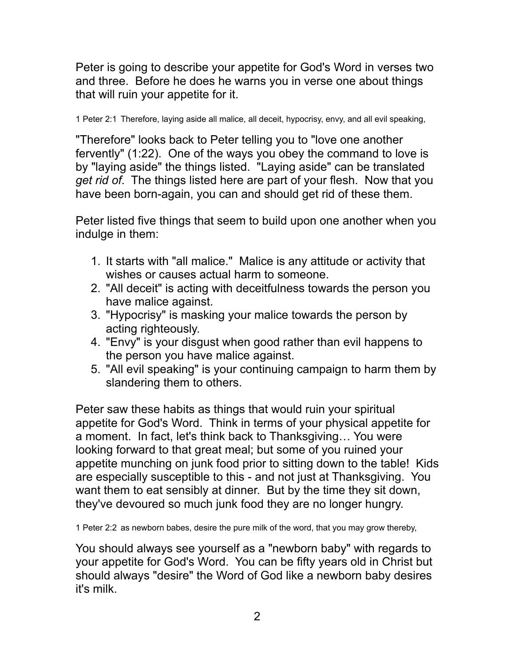Peter is going to describe your appetite for God's Word in verses two and three. Before he does he warns you in verse one about things that will ruin your appetite for it.

1 Peter 2:1 Therefore, laying aside all malice, all deceit, hypocrisy, envy, and all evil speaking,

"Therefore" looks back to Peter telling you to "love one another fervently" (1:22). One of the ways you obey the command to love is by "laying aside" the things listed. "Laying aside" can be translated *get rid of*. The things listed here are part of your flesh. Now that you have been born-again, you can and should get rid of these them.

Peter listed five things that seem to build upon one another when you indulge in them:

- 1. It starts with "all malice." Malice is any attitude or activity that wishes or causes actual harm to someone.
- 2. "All deceit" is acting with deceitfulness towards the person you have malice against.
- 3. "Hypocrisy" is masking your malice towards the person by acting righteously.
- 4. "Envy" is your disgust when good rather than evil happens to the person you have malice against.
- 5. "All evil speaking" is your continuing campaign to harm them by slandering them to others.

Peter saw these habits as things that would ruin your spiritual appetite for God's Word. Think in terms of your physical appetite for a moment. In fact, let's think back to Thanksgiving… You were looking forward to that great meal; but some of you ruined your appetite munching on junk food prior to sitting down to the table! Kids are especially susceptible to this - and not just at Thanksgiving. You want them to eat sensibly at dinner. But by the time they sit down, they've devoured so much junk food they are no longer hungry.

1 Peter 2:2 as newborn babes, desire the pure milk of the word, that you may grow thereby,

You should always see yourself as a "newborn baby" with regards to your appetite for God's Word. You can be fifty years old in Christ but should always "desire" the Word of God like a newborn baby desires it's milk.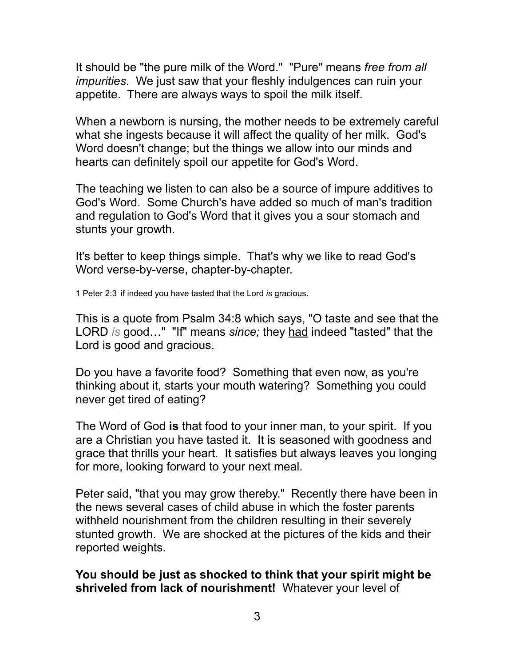It should be "the pure milk of the Word." "Pure" means *free from all impurities*. We just saw that your fleshly indulgences can ruin your appetite. There are always ways to spoil the milk itself.

When a newborn is nursing, the mother needs to be extremely careful what she ingests because it will affect the quality of her milk. God's Word doesn't change; but the things we allow into our minds and hearts can definitely spoil our appetite for God's Word.

The teaching we listen to can also be a source of impure additives to God's Word. Some Church's have added so much of man's tradition and regulation to God's Word that it gives you a sour stomach and stunts your growth.

It's better to keep things simple. That's why we like to read God's Word verse-by-verse, chapter-by-chapter.

1 Peter 2:3 if indeed you have tasted that the Lord *is* gracious.

This is a quote from Psalm 34:8 which says, "O taste and see that the LORD *is* good…" "If" means *since;* they had indeed "tasted" that the Lord is good and gracious.

Do you have a favorite food? Something that even now, as you're thinking about it, starts your mouth watering? Something you could never get tired of eating?

The Word of God **is** that food to your inner man, to your spirit. If you are a Christian you have tasted it. It is seasoned with goodness and grace that thrills your heart. It satisfies but always leaves you longing for more, looking forward to your next meal.

Peter said, "that you may grow thereby." Recently there have been in the news several cases of child abuse in which the foster parents withheld nourishment from the children resulting in their severely stunted growth. We are shocked at the pictures of the kids and their reported weights.

**You should be just as shocked to think that your spirit might be shriveled from lack of nourishment!** Whatever your level of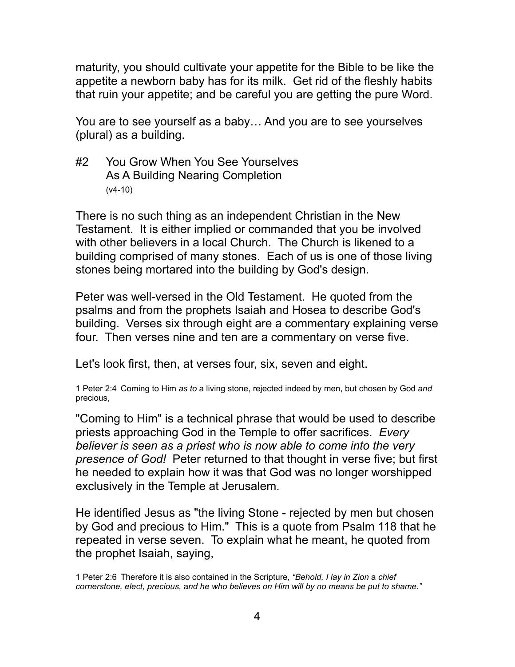maturity, you should cultivate your appetite for the Bible to be like the appetite a newborn baby has for its milk. Get rid of the fleshly habits that ruin your appetite; and be careful you are getting the pure Word.

You are to see yourself as a baby… And you are to see yourselves (plural) as a building.

#2 You Grow When You See Yourselves As A Building Nearing Completion (v4-10)

There is no such thing as an independent Christian in the New Testament. It is either implied or commanded that you be involved with other believers in a local Church. The Church is likened to a building comprised of many stones. Each of us is one of those living stones being mortared into the building by God's design.

Peter was well-versed in the Old Testament. He quoted from the psalms and from the prophets Isaiah and Hosea to describe God's building. Verses six through eight are a commentary explaining verse four. Then verses nine and ten are a commentary on verse five.

Let's look first, then, at verses four, six, seven and eight.

1 Peter 2:4 Coming to Him *as to* a living stone, rejected indeed by men, but chosen by God *and* precious,

"Coming to Him" is a technical phrase that would be used to describe priests approaching God in the Temple to offer sacrifices. *Every believer is seen as a priest who is now able to come into the very presence of God!* Peter returned to that thought in verse five; but first he needed to explain how it was that God was no longer worshipped exclusively in the Temple at Jerusalem.

He identified Jesus as "the living Stone - rejected by men but chosen by God and precious to Him." This is a quote from Psalm 118 that he repeated in verse seven. To explain what he meant, he quoted from the prophet Isaiah, saying,

1 Peter 2:6 Therefore it is also contained in the Scripture, *"Behold, I lay in Zion* a *chief cornerstone, elect, precious,* a*nd he who believes on Him will by no means be put to shame."*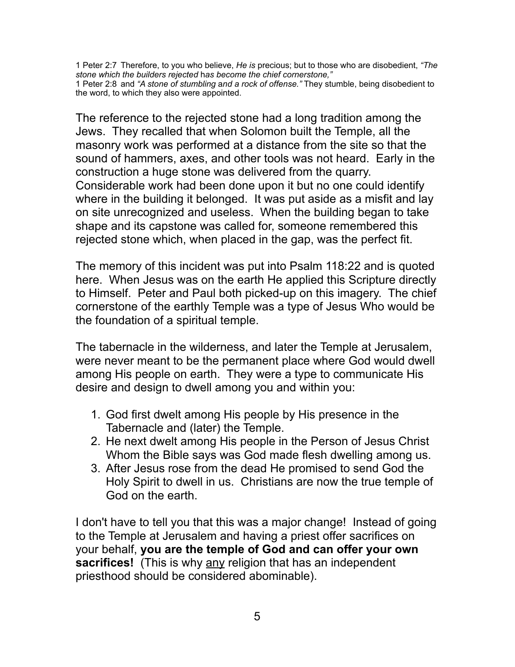1 Peter 2:7 Therefore, to you who believe, *He is* precious; but to those who are disobedient, *"The stone which the builders rejected* h*as become the chief cornerstone,"* 1 Peter 2:8 and *"A stone of stumbling* a*nd a rock of offense."* They stumble, being disobedient to the word, to which they also were appointed.

The reference to the rejected stone had a long tradition among the Jews. They recalled that when Solomon built the Temple, all the masonry work was performed at a distance from the site so that the sound of hammers, axes, and other tools was not heard. Early in the construction a huge stone was delivered from the quarry. Considerable work had been done upon it but no one could identify where in the building it belonged. It was put aside as a misfit and lay on site unrecognized and useless. When the building began to take shape and its capstone was called for, someone remembered this rejected stone which, when placed in the gap, was the perfect fit.

The memory of this incident was put into Psalm 118:22 and is quoted here. When Jesus was on the earth He applied this Scripture directly to Himself. Peter and Paul both picked-up on this imagery. The chief cornerstone of the earthly Temple was a type of Jesus Who would be the foundation of a spiritual temple.

The tabernacle in the wilderness, and later the Temple at Jerusalem, were never meant to be the permanent place where God would dwell among His people on earth. They were a type to communicate His desire and design to dwell among you and within you:

- 1. God first dwelt among His people by His presence in the Tabernacle and (later) the Temple.
- 2. He next dwelt among His people in the Person of Jesus Christ Whom the Bible says was God made flesh dwelling among us.
- 3. After Jesus rose from the dead He promised to send God the Holy Spirit to dwell in us. Christians are now the true temple of God on the earth.

I don't have to tell you that this was a major change! Instead of going to the Temple at Jerusalem and having a priest offer sacrifices on your behalf, **you are the temple of God and can offer your own sacrifices!** (This is why any religion that has an independent priesthood should be considered abominable).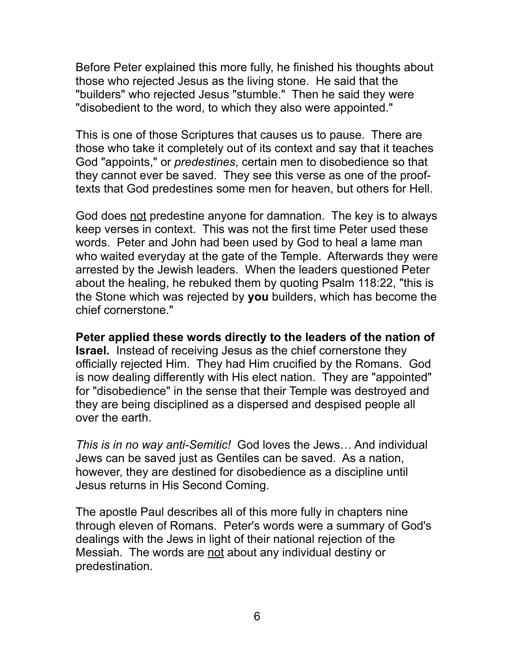Before Peter explained this more fully, he finished his thoughts about those who rejected Jesus as the living stone. He said that the "builders" who rejected Jesus "stumble." Then he said they were "disobedient to the word, to which they also were appointed."

This is one of those Scriptures that causes us to pause. There are those who take it completely out of its context and say that it teaches God "appoints," or *predestines*, certain men to disobedience so that they cannot ever be saved. They see this verse as one of the prooftexts that God predestines some men for heaven, but others for Hell.

God does not predestine anyone for damnation. The key is to always keep verses in context. This was not the first time Peter used these words. Peter and John had been used by God to heal a lame man who waited everyday at the gate of the Temple. Afterwards they were arrested by the Jewish leaders. When the leaders questioned Peter about the healing, he rebuked them by quoting Psalm 118:22, "this is the Stone which was rejected by **you** builders, which has become the chief cornerstone."

**Peter applied these words directly to the leaders of the nation of Israel.** Instead of receiving Jesus as the chief cornerstone they officially rejected Him. They had Him crucified by the Romans. God is now dealing differently with His elect nation. They are "appointed" for "disobedience" in the sense that their Temple was destroyed and they are being disciplined as a dispersed and despised people all over the earth.

*This is in no way anti-Semitic!* God loves the Jews… And individual Jews can be saved just as Gentiles can be saved. As a nation, however, they are destined for disobedience as a discipline until Jesus returns in His Second Coming.

The apostle Paul describes all of this more fully in chapters nine through eleven of Romans. Peter's words were a summary of God's dealings with the Jews in light of their national rejection of the Messiah. The words are not about any individual destiny or predestination.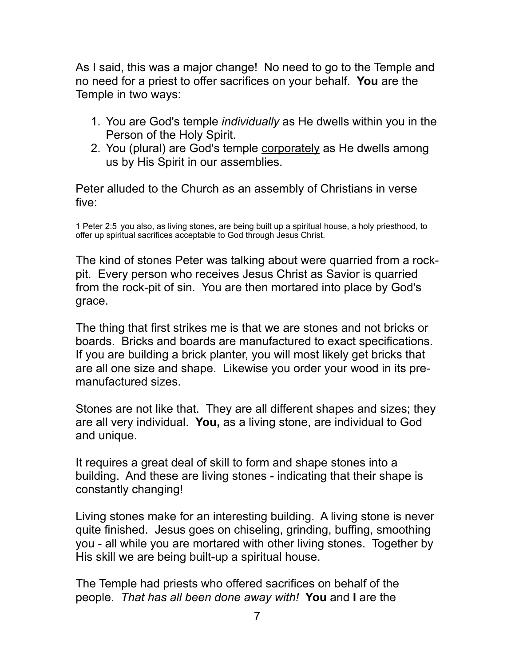As I said, this was a major change! No need to go to the Temple and no need for a priest to offer sacrifices on your behalf. **You** are the Temple in two ways:

- 1. You are God's temple *individually* as He dwells within you in the Person of the Holy Spirit.
- 2. You (plural) are God's temple corporately as He dwells among us by His Spirit in our assemblies.

Peter alluded to the Church as an assembly of Christians in verse five:

1 Peter 2:5 you also, as living stones, are being built up a spiritual house, a holy priesthood, to offer up spiritual sacrifices acceptable to God through Jesus Christ.

The kind of stones Peter was talking about were quarried from a rockpit. Every person who receives Jesus Christ as Savior is quarried from the rock-pit of sin. You are then mortared into place by God's grace.

The thing that first strikes me is that we are stones and not bricks or boards. Bricks and boards are manufactured to exact specifications. If you are building a brick planter, you will most likely get bricks that are all one size and shape. Likewise you order your wood in its premanufactured sizes.

Stones are not like that. They are all different shapes and sizes; they are all very individual. **You,** as a living stone, are individual to God and unique.

It requires a great deal of skill to form and shape stones into a building. And these are living stones - indicating that their shape is constantly changing!

Living stones make for an interesting building. A living stone is never quite finished. Jesus goes on chiseling, grinding, buffing, smoothing you - all while you are mortared with other living stones. Together by His skill we are being built-up a spiritual house.

The Temple had priests who offered sacrifices on behalf of the people. *That has all been done away with!* **You** and **I** are the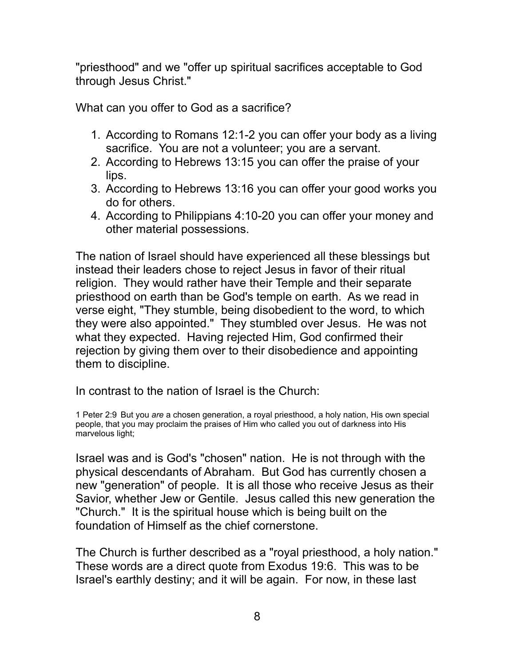"priesthood" and we "offer up spiritual sacrifices acceptable to God through Jesus Christ."

What can you offer to God as a sacrifice?

- 1. According to Romans 12:1-2 you can offer your body as a living sacrifice. You are not a volunteer; you are a servant.
- 2. According to Hebrews 13:15 you can offer the praise of your lips.
- 3. According to Hebrews 13:16 you can offer your good works you do for others.
- 4. According to Philippians 4:10-20 you can offer your money and other material possessions.

The nation of Israel should have experienced all these blessings but instead their leaders chose to reject Jesus in favor of their ritual religion. They would rather have their Temple and their separate priesthood on earth than be God's temple on earth. As we read in verse eight, "They stumble, being disobedient to the word, to which they were also appointed." They stumbled over Jesus. He was not what they expected. Having rejected Him, God confirmed their rejection by giving them over to their disobedience and appointing them to discipline.

In contrast to the nation of Israel is the Church:

1 Peter 2:9 But you *are* a chosen generation, a royal priesthood, a holy nation, His own special people, that you may proclaim the praises of Him who called you out of darkness into His marvelous light;

Israel was and is God's "chosen" nation. He is not through with the physical descendants of Abraham. But God has currently chosen a new "generation" of people. It is all those who receive Jesus as their Savior, whether Jew or Gentile. Jesus called this new generation the "Church." It is the spiritual house which is being built on the foundation of Himself as the chief cornerstone.

The Church is further described as a "royal priesthood, a holy nation." These words are a direct quote from Exodus 19:6. This was to be Israel's earthly destiny; and it will be again. For now, in these last